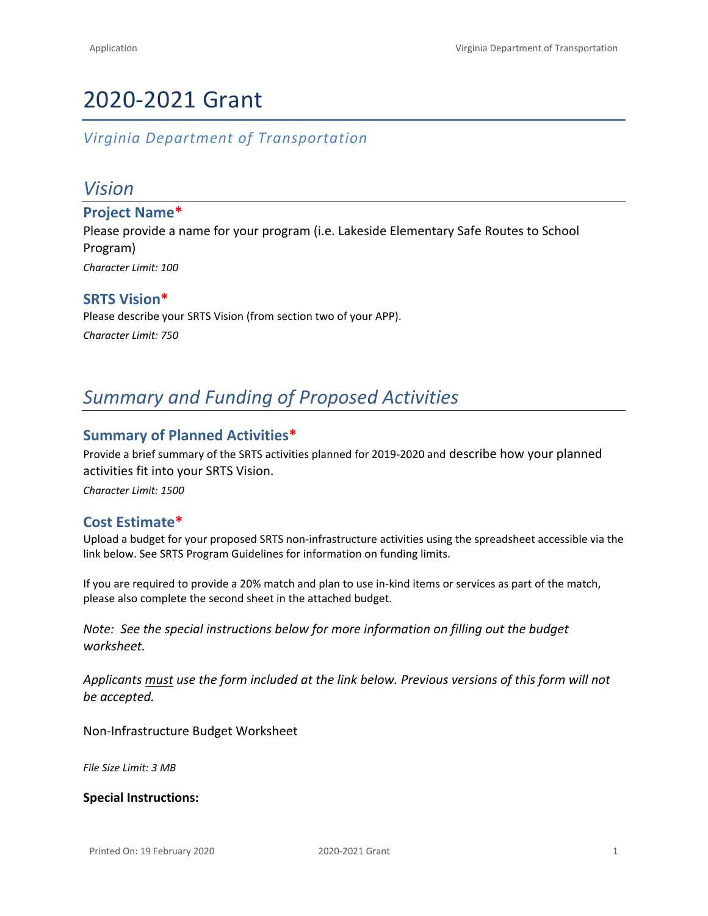# 2020-2021 Grant

*Virginia Department of Transportation*

## *Vision*

**Project Name\*** Please provide a name for your program (i.e. Lakeside Elementary Safe Routes to School Program) *Character Limit: 100*

#### **SRTS Vision\***

Please describe your SRTS Vision (from section two of your APP). *Character Limit: 750*

## *Summary and Funding of Proposed Activities*

#### **Summary of Planned Activities\***

Provide a brief summary of the SRTS activities planned for 2019-2020 and describe how your planned activities fit into your SRTS Vision.

*Character Limit: 1500*

#### **Cost Estimate\***

Upload a budget for your proposed SRTS non-infrastructure activities using the spreadsheet accessible via the link below. See [SRTS Program Guidelines](http://www.virginiadot.org/programs/resources/srts_assets/VDOT_SRTS_Non-Infrastructure_Guidelines_2017.pdf) for information on funding limits.

If you are required to provide a 20% match and plan to use in-kind items or services as part of the match, please also complete the second sheet in the attached budget.

*Note: See the special instructions below for more information on filling out the budget worksheet.*

*Applicants must use the form included at the link below. Previous versions of this form will not be accepted.*

[Non-Infrastructure Budget Worksheet](https://drive.google.com/file/d/0BysmW4aJfDKQbEpLUzdaUG1EOTQ/view?usp=sharing)

*File Size Limit: 3 MB*

#### **Special Instructions:**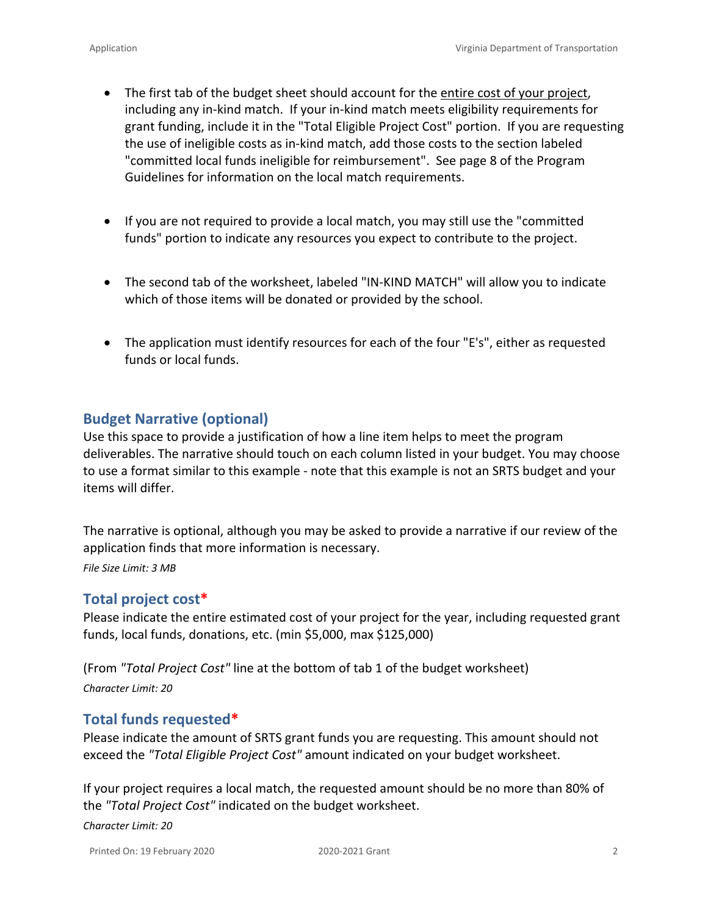- The first tab of the budget sheet should account for the entire cost of your project, including any in-kind match. If your in-kind match meets eligibility requirements for grant funding, include it in the "Total Eligible Project Cost" portion. If you are requesting the use of ineligible costs as in-kind match, add those costs to the section labeled "committed local funds ineligible for reimbursement". See page 8 of the [Program](http://www.virginiadot.org/programs/resources/SRTS_2016/VDOT_SRTS_Non-Infrastructure_Grant_Guidelines.pdf)  [Guidelines](http://www.virginiadot.org/programs/resources/SRTS_2016/VDOT_SRTS_Non-Infrastructure_Grant_Guidelines.pdf) for information on the local match requirements.
- If you are not required to provide a local match, you may still use the "committed funds" portion to indicate any resources you expect to contribute to the project.
- The second tab of the worksheet, labeled "IN-KIND MATCH" will allow you to indicate which of those items will be donated or provided by the school.
- The application must identify resources for each of the four "E's", either as requested funds or local funds.

## **Budget Narrative (optional)**

Use this space to provide a justification of how a line item helps to meet the program deliverables. The narrative should touch on each column listed in your budget. You may choose to use a format similar to this [example](http://www.gnof.org/wp-content/uploads/2015/06/Budget-Narrative-Sample.pdf) - note that this example is not an SRTS budget and your items will differ.

The narrative is optional, although you may be asked to provide a narrative if our review of the application finds that more information is necessary.

*File Size Limit: 3 MB*

## **Total project cost\***

Please indicate the entire estimated cost of your project for the year, including requested grant funds, local funds, donations, etc. (min \$5,000, max \$125,000)

(From *"Total Project Cost"* line at the bottom of tab 1 of the budget worksheet) *Character Limit: 20*

## **Total funds requested\***

Please indicate the amount of SRTS grant funds you are requesting. This amount should not exceed the *"Total Eligible Project Cost"* amount indicated on your budget worksheet.

If your project requires a local match, the requested amount should be no more than 80% of the *"Total Project Cost"* indicated on the budget worksheet.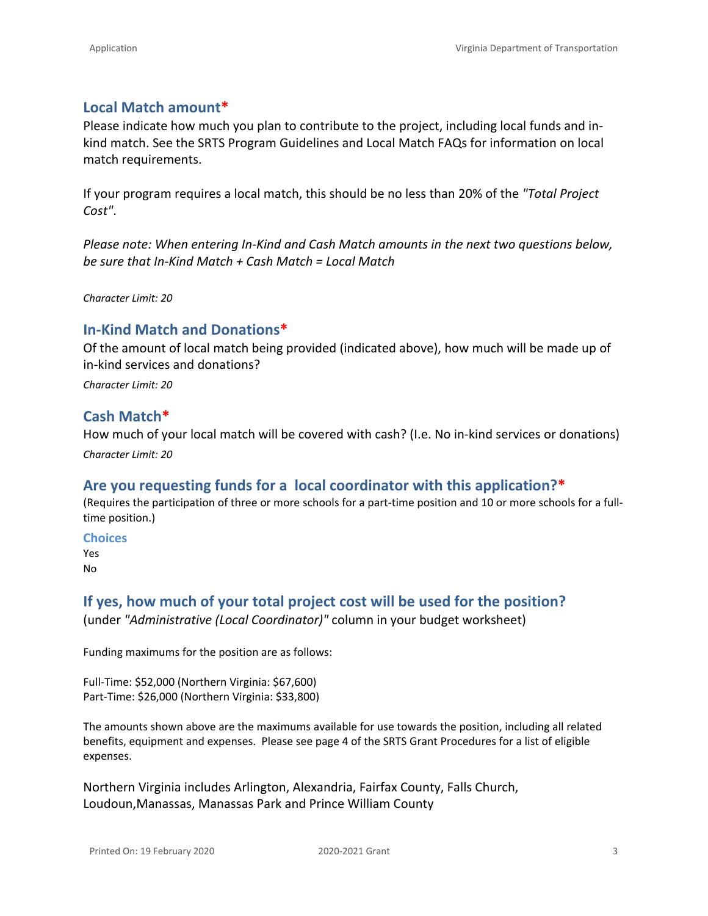## **Local Match amount\***

Please indicate how much you plan to contribute to the project, including local funds and inkind match. See the SRTS Program Guidelines and [Local Match FAQs](http://www.virginiadot.org/programs/resources/srts_assets/VDOT_SRTS_Non-Infrastructure_Grant_Local_Match_FAQs.pdf) for information on local match requirements.

If your program requires a local match, this should be no less than 20% of the *"Total Project Cost"*.

*Please note: When entering In-Kind and Cash Match amounts in the next two questions below, be sure that In-Kind Match + Cash Match = Local Match*

*Character Limit: 20*

## **In-Kind Match and Donations\***

Of the amount of local match being provided (indicated above), how much will be made up of in-kind services and donations?

*Character Limit: 20*

## **Cash Match\***

How much of your local match will be covered with cash? (I.e. No in-kind services or donations) *Character Limit: 20*

## **Are you requesting funds for a local coordinator with this application?\***

(Requires the participation of three or more schools for a part-time position and 10 or more schools for a fulltime position.)

#### **Choices**

Yes No

## **If yes, how much of your total project cost will be used for the position?** (under *"Administrative (Local Coordinator)"* column in your budget worksheet)

Funding maximums for the position are as follows:

Full-Time: \$52,000 (Northern Virginia: \$67,600) Part-Time: \$26,000 (Northern Virginia: \$33,800)

The amounts shown above are the maximums available for use towards the position, including all related benefits, equipment and expenses. Please see page 4 of the [SRTS Grant Procedures](http://www.virginiadot.org/programs/resources/srts_assets/VDOT_SRTS_Non-Infrastructure_Grant_Procedures.pdf) for a list of eligible expenses.

Northern Virginia includes Arlington, Alexandria, Fairfax County, Falls Church, Loudoun,Manassas, Manassas Park and Prince William County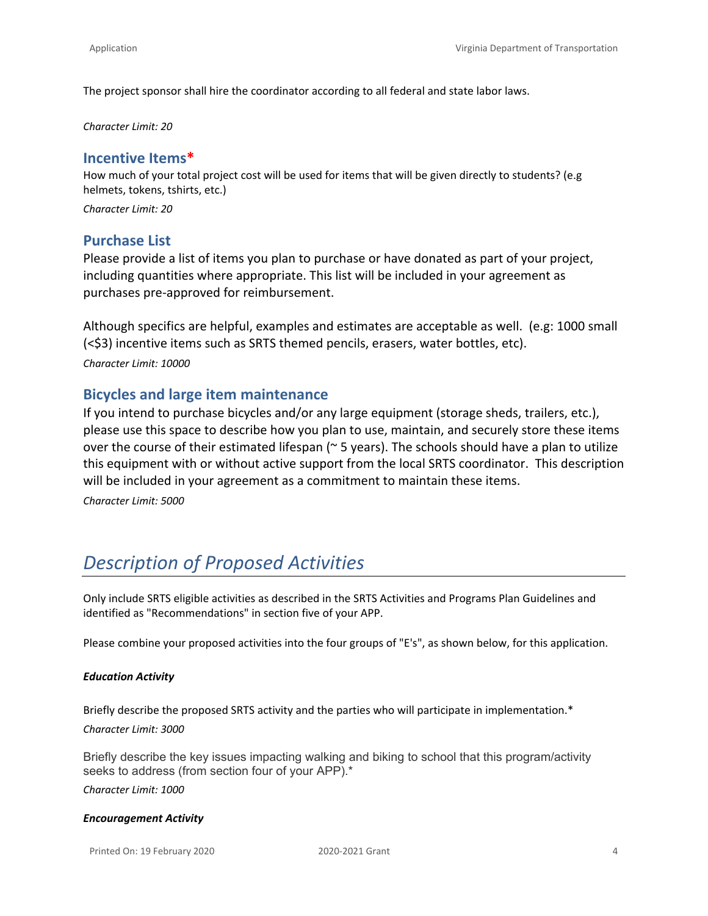The project sponsor shall hire the coordinator according to all federal and state labor laws.

*Character Limit: 20*

#### **Incentive Items\***

How much of your total project cost will be used for items that will be given directly to students? (e.g helmets, tokens, tshirts, etc.)

*Character Limit: 20*

#### **Purchase List**

Please provide a list of items you plan to purchase or have donated as part of your project, including quantities where appropriate. This list will be included in your agreement as purchases pre-approved for reimbursement.

Although specifics are helpful, examples and estimates are acceptable as well. (e.g: 1000 small (<\$3) incentive items such as SRTS themed pencils, erasers, water bottles, etc). *Character Limit: 10000*

#### **Bicycles and large item maintenance**

If you intend to purchase bicycles and/or any large equipment (storage sheds, trailers, etc.), please use this space to describe how you plan to use, maintain, and securely store these items over the course of their estimated lifespan ( $\sim$  5 years). The schools should have a plan to utilize this equipment with or without active support from the local SRTS coordinator. This description will be included in your agreement as a commitment to maintain these items.

*Character Limit: 5000*

## *Description of Proposed Activities*

Only include SRTS eligible activities as described in the SRTS Activities and Programs Plan Guidelines and identified as "Recommendations" in section five of your APP.

Please combine your proposed activities into the four groups of "E's", as shown below, for this application.

#### *Education Activity*

Briefly describe the proposed SRTS activity and the parties who will participate in implementation.\* *Character Limit: 3000*

Briefly describe the key issues impacting walking and biking to school that this program/activity seeks to address (from section four of your APP).\*

*Character Limit: 1000*

#### *Encouragement Activity*

Printed On: 19 February 2020 2020-2021 Grant 4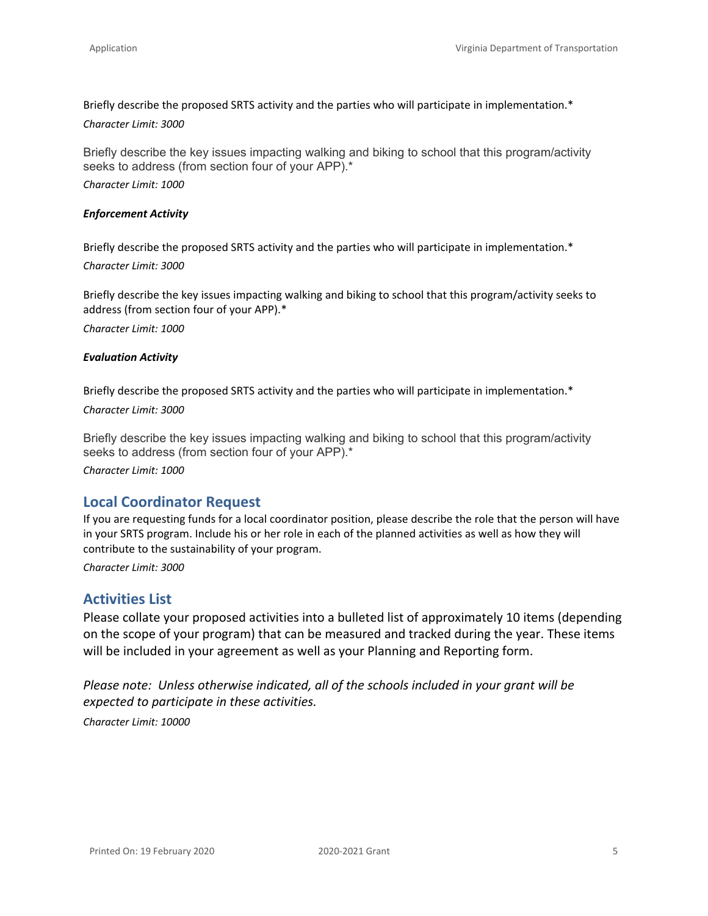Briefly describe the proposed SRTS activity and the parties who will participate in implementation.\* *Character Limit: 3000*

Briefly describe the key issues impacting walking and biking to school that this program/activity seeks to address (from section four of your APP).\*

*Character Limit: 1000*

#### *Enforcement Activity*

Briefly describe the proposed SRTS activity and the parties who will participate in implementation.\* *Character Limit: 3000*

Briefly describe the key issues impacting walking and biking to school that this program/activity seeks to address (from section four of your APP).\*

*Character Limit: 1000*

#### *Evaluation Activity*

Briefly describe the proposed SRTS activity and the parties who will participate in implementation.\*

*Character Limit: 3000*

Briefly describe the key issues impacting walking and biking to school that this program/activity seeks to address (from section four of your APP).\*

*Character Limit: 1000*

#### **Local Coordinator Request**

If you are requesting funds for a local coordinator position, please describe the role that the person will have in your SRTS program. Include his or her role in each of the planned activities as well as how they will contribute to the sustainability of your program.

*Character Limit: 3000*

#### **Activities List**

Please collate your proposed activities into a bulleted list of approximately 10 items (depending on the scope of your program) that can be measured and tracked during the year. These items will be included in your agreement as well as your Planning and Reporting form.

*Please note: Unless otherwise indicated, all of the schools included in your grant will be expected to participate in these activities.*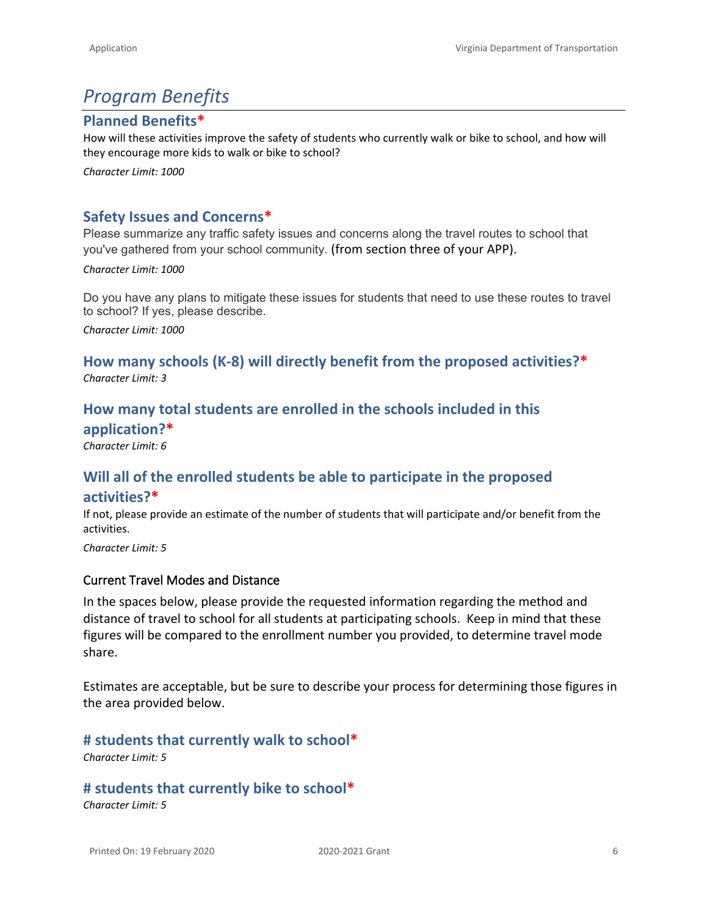## *Program Benefits*

### **Planned Benefits\***

How will these activities improve the safety of students who currently walk or bike to school, and how will they encourage more kids to walk or bike to school?

*Character Limit: 1000*

## **Safety Issues and Concerns\***

Please summarize any traffic safety issues and concerns along the travel routes to school that you've gathered from your school community. (from section three of your APP).

*Character Limit: 1000*

Do you have any plans to mitigate these issues for students that need to use these routes to travel to school? If yes, please describe.

*Character Limit: 1000*

## **How many schools (K-8) will directly benefit from the proposed activities?\*** *Character Limit: 3*

## **How many total students are enrolled in the schools included in this application?\***

*Character Limit: 6*

## **Will all of the enrolled students be able to participate in the proposed activities?\***

If not, please provide an estimate of the number of students that will participate and/or benefit from the activities.

*Character Limit: 5*

#### **Current Travel Modes and Distance**

In the spaces below, please provide the requested information regarding the method and distance of travel to school for all students at participating schools. Keep in mind that these figures will be compared to the enrollment number you provided, to determine travel mode share.

Estimates are acceptable, but be sure to describe your process for determining those figures in the area provided below.

**# students that currently walk to school\***

*Character Limit: 5*

## **# students that currently bike to school\***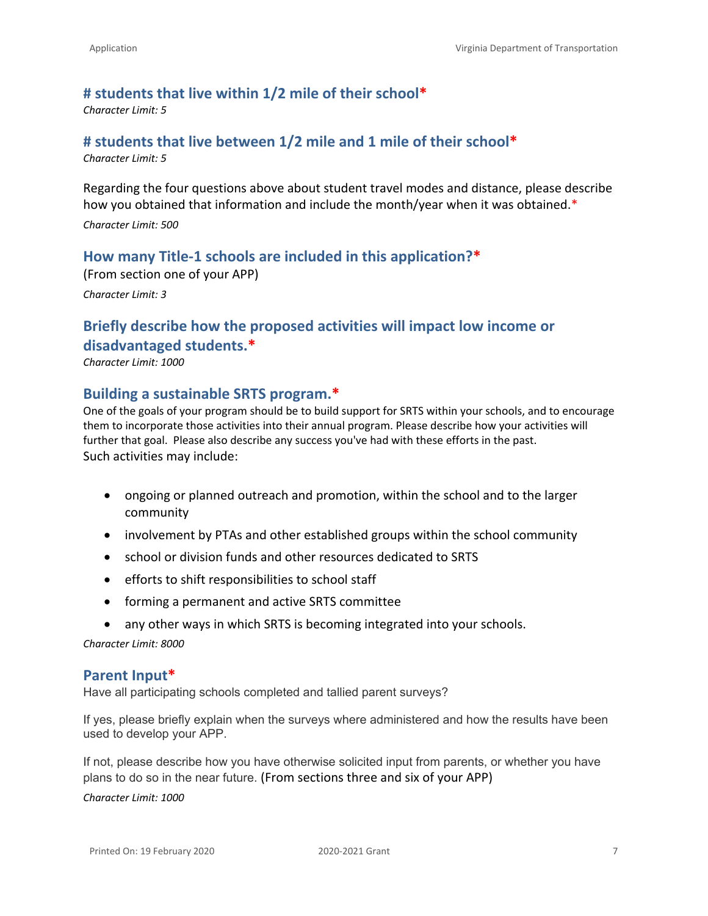#### **# students that live within 1/2 mile of their school\***

*Character Limit: 5*

#### **# students that live between 1/2 mile and 1 mile of their school\***

*Character Limit: 5*

Regarding the four questions above about student travel modes and distance, please describe how you obtained that information and include the month/year when it was obtained.\*

*Character Limit: 500*

#### **How many Title-1 schools are included in this application?\***

(From section one of your APP) *Character Limit: 3*

## **Briefly describe how the proposed activities will impact low income or disadvantaged students.\***

*Character Limit: 1000*

#### **Building a sustainable SRTS program.\***

One of the goals of your program should be to build support for SRTS within your schools, and to encourage them to incorporate those activities into their annual program. Please describe how your activities will further that goal. Please also describe any success you've had with these efforts in the past. Such activities may include:

- ongoing or planned outreach and promotion, within the school and to the larger community
- involvement by PTAs and other established groups within the school community
- school or division funds and other resources dedicated to SRTS
- efforts to shift responsibilities to school staff
- forming a permanent and active SRTS committee
- any other ways in which SRTS is becoming integrated into your schools.

*Character Limit: 8000*

#### **Parent Input\***

Have all participating schools completed and tallied parent surveys?

If yes, please briefly explain when the surveys where administered and how the results have been used to develop your APP.

If not, please describe how you have otherwise solicited input from parents, or whether you have plans to do so in the near future. (From sections three and six of your APP)